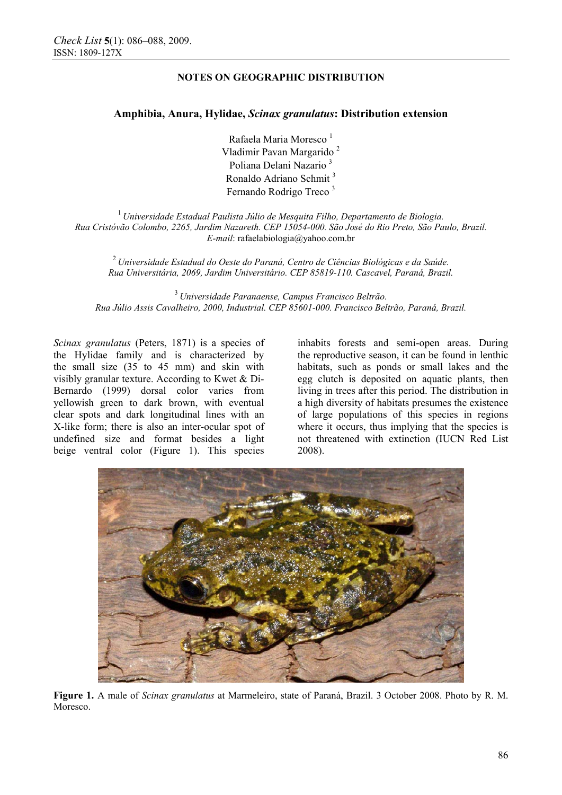# **NOTES ON GEOGRAPHIC DISTRIBUTION**

## **Amphibia, Anura, Hylidae,** *Scinax granulatus***: Distribution extension**

Rafaela Maria Moresco<sup>1</sup> Vladimir Pavan Margarido<sup>2</sup> Poliana Delani Nazario 3 Ronaldo Adriano Schmit 3 Fernando Rodrigo Treco 3

<sup>1</sup>*Universidade Estadual Paulista Júlio de Mesquita Filho, Departamento de Biologia. Rua Cristóvão Colombo, 2265, Jardim Nazareth. CEP 15054-000. São José do Rio Preto, São Paulo, Brazil. E-mail*: rafaelabiologia@yahoo.com.br

<sup>2</sup>*Universidade Estadual do Oeste do Paraná, Centro de Ciências Biológicas e da Saúde. Rua Universitária, 2069, Jardim Universitário. CEP 85819-110. Cascavel, Paraná, Brazil.* 

<sup>3</sup>*Universidade Paranaense, Campus Francisco Beltrão. Rua Júlio Assis Cavalheiro, 2000, Industrial. CEP 85601-000. Francisco Beltrão, Paraná, Brazil.*

*Scinax granulatus* (Peters, 1871) is a species of the Hylidae family and is characterized by the small size (35 to 45 mm) and skin with visibly granular texture. According to Kwet & Di-Bernardo (1999) dorsal color varies from yellowish green to dark brown, with eventual clear spots and dark longitudinal lines with an X-like form; there is also an inter-ocular spot of undefined size and format besides a light beige ventral color (Figure 1). This species

inhabits forests and semi-open areas. During the reproductive season, it can be found in lenthic habitats, such as ponds or small lakes and the egg clutch is deposited on aquatic plants, then living in trees after this period. The distribution in a high diversity of habitats presumes the existence of large populations of this species in regions where it occurs, thus implying that the species is not threatened with extinction (IUCN Red List 2008).



**Figure 1.** A male of *Scinax granulatus* at Marmeleiro, state of Paraná, Brazil. 3 October 2008. Photo by R. M. Moresco.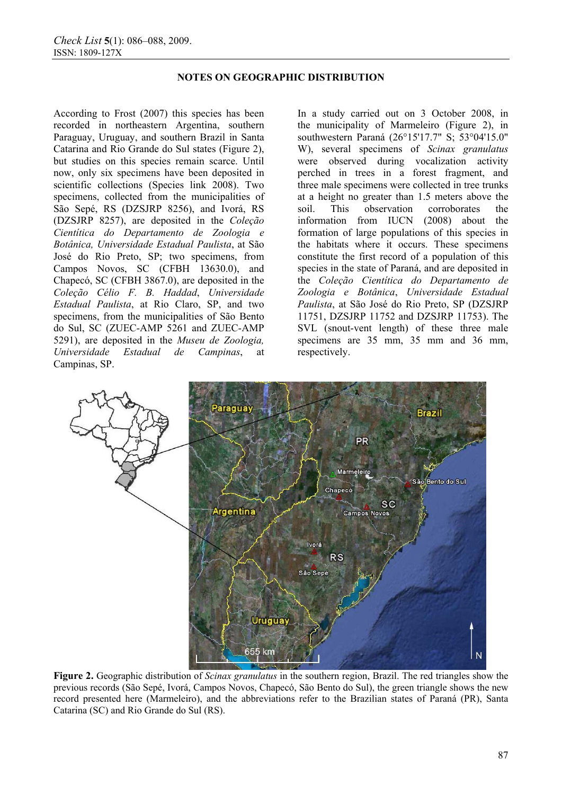### **NOTES ON GEOGRAPHIC DISTRIBUTION**

According to Frost (2007) this species has been recorded in northeastern Argentina, southern Paraguay, Uruguay, and southern Brazil in Santa Catarina and Rio Grande do Sul states (Figure 2), but studies on this species remain scarce. Until now, only six specimens have been deposited in scientific collections (Species link 2008). Two specimens, collected from the municipalities of São Sepé, RS (DZSJRP 8256), and Ivorá, RS (DZSJRP 8257), are deposited in the *Coleção Cientítica do Departamento de Zoologia e Botânica, Universidade Estadual Paulista*, at São José do Rio Preto, SP; two specimens, from Campos Novos, SC (CFBH 13630.0), and Chapecó, SC (CFBH 3867.0), are deposited in the *Coleção Célio F. B. Haddad*, *Universidade Estadual Paulista*, at Rio Claro, SP, and two specimens, from the municipalities of São Bento do Sul, SC (ZUEC-AMP 5261 and ZUEC-AMP 5291), are deposited in the *Museu de Zoologia, Universidade Estadual de Campinas*, at Campinas, SP.

In a study carried out on 3 October 2008, in the municipality of Marmeleiro (Figure 2), in southwestern Paraná (26°15'17.7" S; 53°04'15.0" W), several specimens of *Scinax granulatus* were observed during vocalization activity perched in trees in a forest fragment, and three male specimens were collected in tree trunks at a height no greater than 1.5 meters above the soil. This observation corroborates the information from IUCN (2008) about the formation of large populations of this species in the habitats where it occurs. These specimens constitute the first record of a population of this species in the state of Paraná, and are deposited in the *Coleção Cientítica do Departamento de Zoologia e Botânica*, *Universidade Estadual Paulista*, at São José do Rio Preto, SP (DZSJRP 11751, DZSJRP 11752 and DZSJRP 11753). The SVL (snout-vent length) of these three male specimens are 35 mm, 35 mm and 36 mm, respectively.



**Figure 2.** Geographic distribution of *Scinax granulatus* in the southern region, Brazil. The red triangles show the previous records (São Sepé, Ivorá, Campos Novos, Chapecó, São Bento do Sul), the green triangle shows the new record presented here (Marmeleiro), and the abbreviations refer to the Brazilian states of Paraná (PR), Santa Catarina (SC) and Rio Grande do Sul (RS).